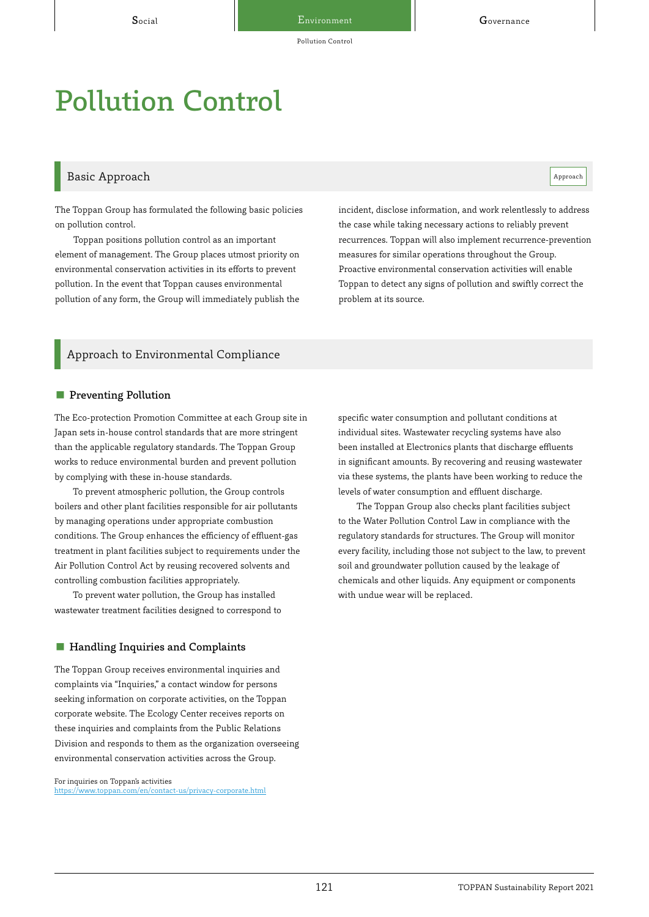# Pollution Control

# Basic Approach and the contract of the contract of the contract of the contract of the contract of the contract of the contract of the contract of the contract of the contract of the contract of the contract of the contrac

The Toppan Group has formulated the following basic policies on pollution control.

Toppan positions pollution control as an important element of management. The Group places utmost priority on environmental conservation activities in its efforts to prevent pollution. In the event that Toppan causes environmental pollution of any form, the Group will immediately publish the incident, disclose information, and work relentlessly to address the case while taking necessary actions to reliably prevent recurrences. Toppan will also implement recurrence-prevention measures for similar operations throughout the Group. Proactive environmental conservation activities will enable Toppan to detect any signs of pollution and swiftly correct the problem at its source.

# Approach to Environmental Compliance

#### ■ Preventing Pollution

The Eco-protection Promotion Committee at each Group site in Japan sets in-house control standards that are more stringent than the applicable regulatory standards. The Toppan Group works to reduce environmental burden and prevent pollution by complying with these in-house standards.

To prevent atmospheric pollution, the Group controls boilers and other plant facilities responsible for air pollutants by managing operations under appropriate combustion conditions. The Group enhances the efficiency of effluent-gas treatment in plant facilities subject to requirements under the Air Pollution Control Act by reusing recovered solvents and controlling combustion facilities appropriately.

To prevent water pollution, the Group has installed wastewater treatment facilities designed to correspond to

#### ■ Handling Inquiries and Complaints

The Toppan Group receives environmental inquiries and complaints via "Inquiries," a contact window for persons seeking information on corporate activities, on the Toppan corporate website. The Ecology Center receives reports on these inquiries and complaints from the Public Relations Division and responds to them as the organization overseeing environmental conservation activities across the Group.

For inquiries on Toppan's activities <https://www.toppan.com/en/contact-us/privacy-corporate.html> specific water consumption and pollutant conditions at individual sites. Wastewater recycling systems have also been installed at Electronics plants that discharge effluents in significant amounts. By recovering and reusing wastewater via these systems, the plants have been working to reduce the levels of water consumption and effluent discharge.

The Toppan Group also checks plant facilities subject to the Water Pollution Control Law in compliance with the regulatory standards for structures. The Group will monitor every facility, including those not subject to the law, to prevent soil and groundwater pollution caused by the leakage of chemicals and other liquids. Any equipment or components with undue wear will be replaced.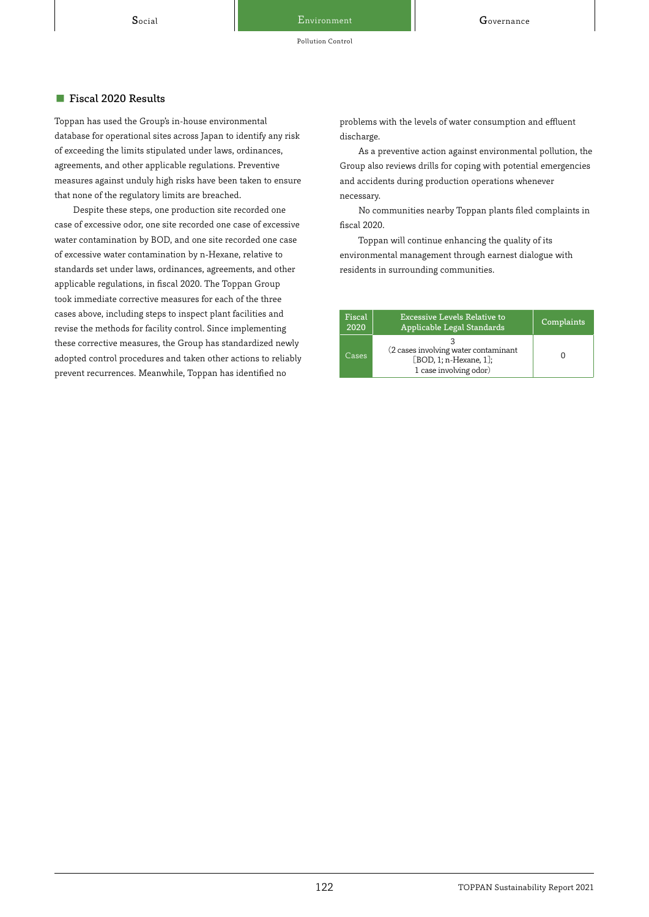Pollution Control

#### ■ Fiscal 2020 Results

Toppan has used the Group's in-house environmental database for operational sites across Japan to identify any risk of exceeding the limits stipulated under laws, ordinances, agreements, and other applicable regulations. Preventive measures against unduly high risks have been taken to ensure that none of the regulatory limits are breached.

Despite these steps, one production site recorded one case of excessive odor, one site recorded one case of excessive water contamination by BOD, and one site recorded one case of excessive water contamination by n-Hexane, relative to standards set under laws, ordinances, agreements, and other applicable regulations, in fiscal 2020. The Toppan Group took immediate corrective measures for each of the three cases above, including steps to inspect plant facilities and revise the methods for facility control. Since implementing these corrective measures, the Group has standardized newly adopted control procedures and taken other actions to reliably prevent recurrences. Meanwhile, Toppan has identified no

problems with the levels of water consumption and effluent discharge.

As a preventive action against environmental pollution, the Group also reviews drills for coping with potential emergencies and accidents during production operations whenever necessary.

No communities nearby Toppan plants filed complaints in fiscal 2020.

Toppan will continue enhancing the quality of its environmental management through earnest dialogue with residents in surrounding communities.

| Fiscal<br>2020 | <b>Excessive Levels Relative to</b><br>Applicable Legal Standards                        | Complaints |
|----------------|------------------------------------------------------------------------------------------|------------|
| Cases          | (2 cases involving water contaminant<br>[BOD, 1; n-Hexane, 1];<br>1 case involving odor) |            |

#### 122 TOPPAN Sustainability Report 2021